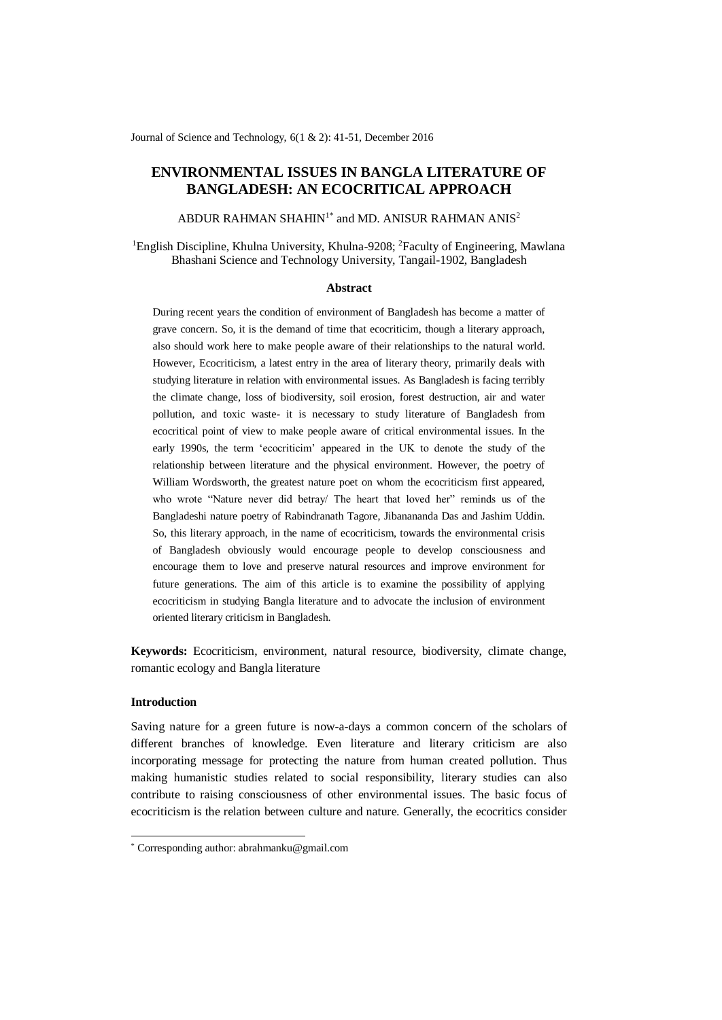Journal of Science and Technology, 6(1 & 2): 41-51, December 2016

# **ENVIRONMENTAL ISSUES IN BANGLA LITERATURE OF BANGLADESH: AN ECOCRITICAL APPROACH**

ABDUR RAHMAN SHAHIN<sup>1\*</sup> and MD. ANISUR RAHMAN ANIS<sup>2</sup>

<sup>1</sup>English Discipline, Khulna University, Khulna-9208; <sup>2</sup>Faculty of Engineering, Mawlana Bhashani Science and Technology University, Tangail-1902, Bangladesh

#### **Abstract**

During recent years the condition of environment of Bangladesh has become a matter of grave concern. So, it is the demand of time that ecocriticim, though a literary approach, also should work here to make people aware of their relationships to the natural world. However, Ecocriticism, a latest entry in the area of literary theory, primarily deals with studying literature in relation with environmental issues. As Bangladesh is facing terribly the climate change, loss of biodiversity, soil erosion, forest destruction, air and water pollution, and toxic waste- it is necessary to study literature of Bangladesh from ecocritical point of view to make people aware of critical environmental issues. In the early 1990s, the term 'ecocriticim' appeared in the UK to denote the study of the relationship between literature and the physical environment. However, the poetry of William Wordsworth, the greatest nature poet on whom the ecocriticism first appeared, who wrote "Nature never did betray/ The heart that loved her" reminds us of the Bangladeshi nature poetry of Rabindranath Tagore, Jibanananda Das and Jashim Uddin. So, this literary approach, in the name of ecocriticism, towards the environmental crisis of Bangladesh obviously would encourage people to develop consciousness and encourage them to love and preserve natural resources and improve environment for future generations. The aim of this article is to examine the possibility of applying ecocriticism in studying Bangla literature and to advocate the inclusion of environment oriented literary criticism in Bangladesh.

**Keywords:** Ecocriticism, environment, natural resource, biodiversity, climate change, romantic ecology and Bangla literature

#### **Introduction**

-

Saving nature for a green future is now-a-days a common concern of the scholars of different branches of knowledge. Even literature and literary criticism are also incorporating message for protecting the nature from human created pollution. Thus making humanistic studies related to social responsibility, literary studies can also contribute to raising consciousness of other environmental issues. The basic focus of ecocriticism is the relation between culture and nature. Generally, the ecocritics consider

<sup>\*</sup> Corresponding author: abrahmanku@gmail.com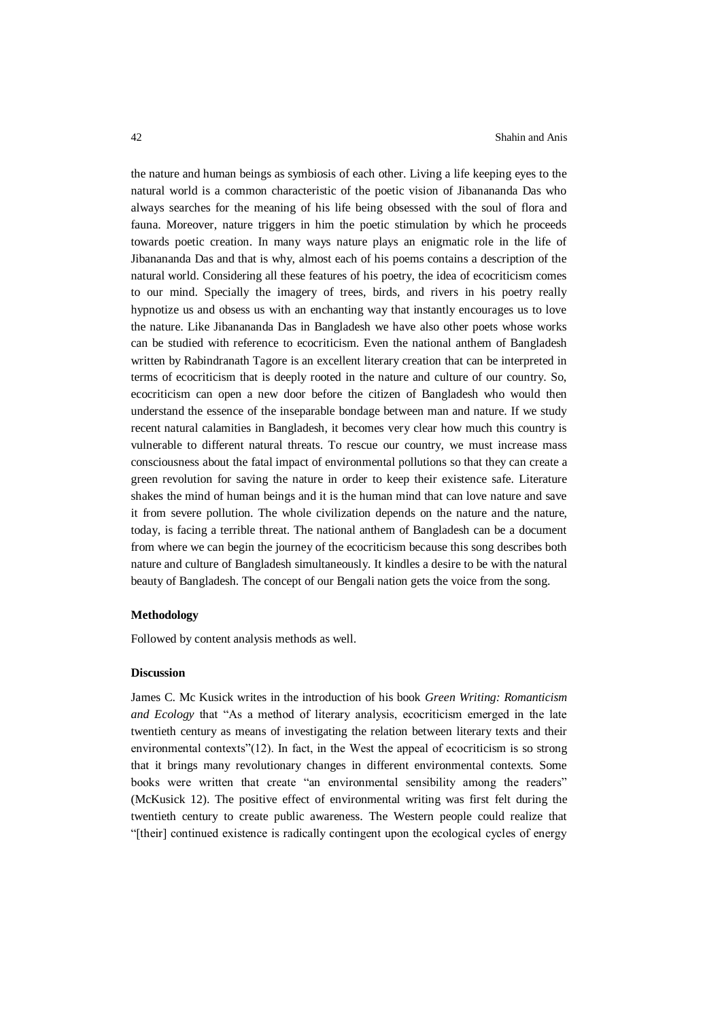the nature and human beings as symbiosis of each other. Living a life keeping eyes to the natural world is a common characteristic of the poetic vision of Jibanananda Das who always searches for the meaning of his life being obsessed with the soul of flora and fauna. Moreover, nature triggers in him the poetic stimulation by which he proceeds towards poetic creation. In many ways nature plays an enigmatic role in the life of Jibanananda Das and that is why, almost each of his poems contains a description of the natural world. Considering all these features of his poetry, the idea of ecocriticism comes to our mind. Specially the imagery of trees, birds, and rivers in his poetry really hypnotize us and obsess us with an enchanting way that instantly encourages us to love the nature. Like Jibanananda Das in Bangladesh we have also other poets whose works can be studied with reference to ecocriticism. Even the national anthem of Bangladesh written by Rabindranath Tagore is an excellent literary creation that can be interpreted in terms of ecocriticism that is deeply rooted in the nature and culture of our country. So, ecocriticism can open a new door before the citizen of Bangladesh who would then understand the essence of the inseparable bondage between man and nature. If we study recent natural calamities in Bangladesh, it becomes very clear how much this country is vulnerable to different natural threats. To rescue our country, we must increase mass consciousness about the fatal impact of environmental pollutions so that they can create a green revolution for saving the nature in order to keep their existence safe. Literature shakes the mind of human beings and it is the human mind that can love nature and save it from severe pollution. The whole civilization depends on the nature and the nature, today, is facing a terrible threat. The national anthem of Bangladesh can be a document from where we can begin the journey of the ecocriticism because this song describes both nature and culture of Bangladesh simultaneously. It kindles a desire to be with the natural beauty of Bangladesh. The concept of our Bengali nation gets the voice from the song.

#### **Methodology**

Followed by content analysis methods as well.

### **Discussion**

James C. Mc Kusick writes in the introduction of his book *Green Writing: Romanticism and Ecology* that "As a method of literary analysis, ecocriticism emerged in the late twentieth century as means of investigating the relation between literary texts and their environmental contexts"(12). In fact, in the West the appeal of ecocriticism is so strong that it brings many revolutionary changes in different environmental contexts. Some books were written that create "an environmental sensibility among the readers" (McKusick 12). The positive effect of environmental writing was first felt during the twentieth century to create public awareness. The Western people could realize that "[their] continued existence is radically contingent upon the ecological cycles of energy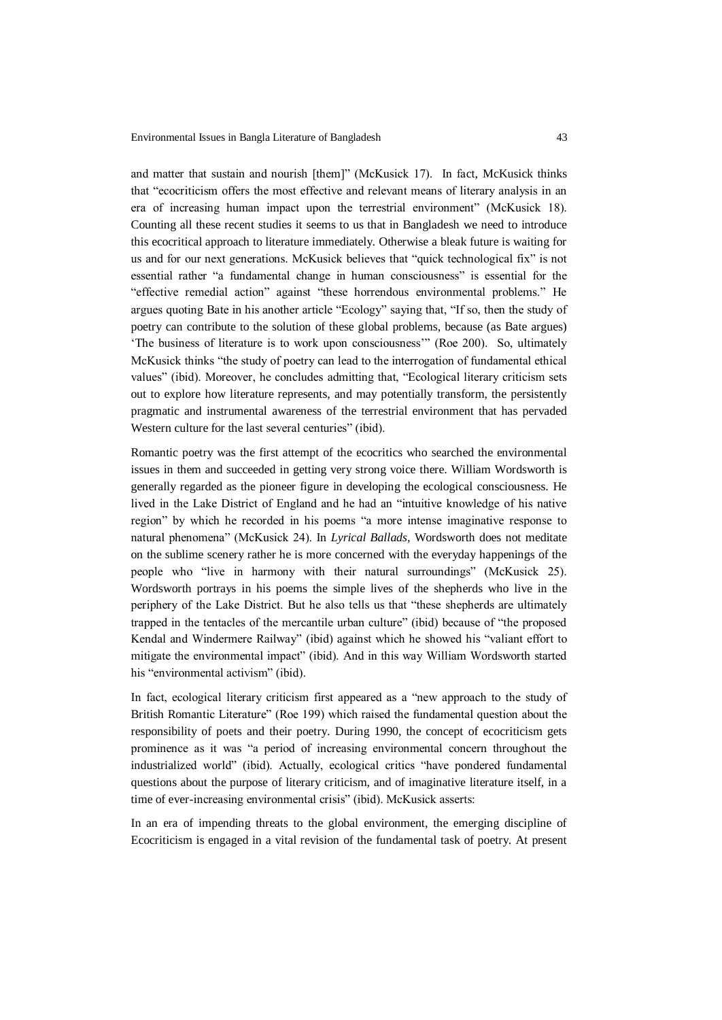and matter that sustain and nourish [them]" (McKusick 17). In fact, McKusick thinks that "ecocriticism offers the most effective and relevant means of literary analysis in an era of increasing human impact upon the terrestrial environment" (McKusick 18). Counting all these recent studies it seems to us that in Bangladesh we need to introduce this ecocritical approach to literature immediately. Otherwise a bleak future is waiting for us and for our next generations. McKusick believes that "quick technological fix" is not essential rather "a fundamental change in human consciousness" is essential for the "effective remedial action" against "these horrendous environmental problems." He argues quoting Bate in his another article "Ecology" saying that, "If so, then the study of poetry can contribute to the solution of these global problems, because (as Bate argues) 'The business of literature is to work upon consciousness'" (Roe 200). So, ultimately McKusick thinks "the study of poetry can lead to the interrogation of fundamental ethical values" (ibid). Moreover, he concludes admitting that, "Ecological literary criticism sets out to explore how literature represents, and may potentially transform, the persistently pragmatic and instrumental awareness of the terrestrial environment that has pervaded Western culture for the last several centuries" (ibid).

Romantic poetry was the first attempt of the ecocritics who searched the environmental issues in them and succeeded in getting very strong voice there. William Wordsworth is generally regarded as the pioneer figure in developing the ecological consciousness. He lived in the Lake District of England and he had an "intuitive knowledge of his native region" by which he recorded in his poems "a more intense imaginative response to natural phenomena" (McKusick 24). In *Lyrical Ballads,* Wordsworth does not meditate on the sublime scenery rather he is more concerned with the everyday happenings of the people who "live in harmony with their natural surroundings" (McKusick 25). Wordsworth portrays in his poems the simple lives of the shepherds who live in the periphery of the Lake District. But he also tells us that "these shepherds are ultimately trapped in the tentacles of the mercantile urban culture" (ibid) because of "the proposed Kendal and Windermere Railway" (ibid) against which he showed his "valiant effort to mitigate the environmental impact" (ibid). And in this way William Wordsworth started his "environmental activism" (ibid).

In fact, ecological literary criticism first appeared as a "new approach to the study of British Romantic Literature" (Roe 199) which raised the fundamental question about the responsibility of poets and their poetry. During 1990, the concept of ecocriticism gets prominence as it was "a period of increasing environmental concern throughout the industrialized world" (ibid). Actually, ecological critics "have pondered fundamental questions about the purpose of literary criticism, and of imaginative literature itself, in a time of ever-increasing environmental crisis" (ibid). McKusick asserts:

In an era of impending threats to the global environment, the emerging discipline of Ecocriticism is engaged in a vital revision of the fundamental task of poetry. At present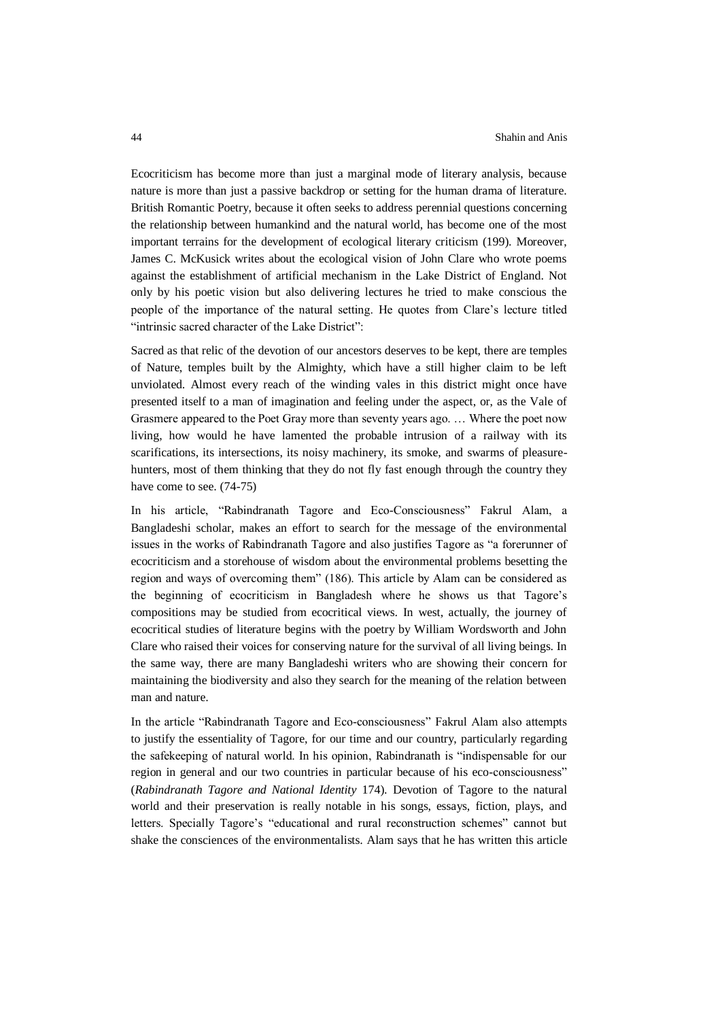Ecocriticism has become more than just a marginal mode of literary analysis, because nature is more than just a passive backdrop or setting for the human drama of literature. British Romantic Poetry, because it often seeks to address perennial questions concerning the relationship between humankind and the natural world, has become one of the most important terrains for the development of ecological literary criticism (199). Moreover, James C. McKusick writes about the ecological vision of John Clare who wrote poems against the establishment of artificial mechanism in the Lake District of England. Not only by his poetic vision but also delivering lectures he tried to make conscious the people of the importance of the natural setting. He quotes from Clare's lecture titled "intrinsic sacred character of the Lake District":

Sacred as that relic of the devotion of our ancestors deserves to be kept, there are temples of Nature, temples built by the Almighty, which have a still higher claim to be left unviolated. Almost every reach of the winding vales in this district might once have presented itself to a man of imagination and feeling under the aspect, or, as the Vale of Grasmere appeared to the Poet Gray more than seventy years ago. … Where the poet now living, how would he have lamented the probable intrusion of a railway with its scarifications, its intersections, its noisy machinery, its smoke, and swarms of pleasurehunters, most of them thinking that they do not fly fast enough through the country they have come to see. (74-75)

In his article, "Rabindranath Tagore and Eco-Consciousness" Fakrul Alam, a Bangladeshi scholar, makes an effort to search for the message of the environmental issues in the works of Rabindranath Tagore and also justifies Tagore as "a forerunner of ecocriticism and a storehouse of wisdom about the environmental problems besetting the region and ways of overcoming them" (186). This article by Alam can be considered as the beginning of ecocriticism in Bangladesh where he shows us that Tagore's compositions may be studied from ecocritical views. In west, actually, the journey of ecocritical studies of literature begins with the poetry by William Wordsworth and John Clare who raised their voices for conserving nature for the survival of all living beings. In the same way, there are many Bangladeshi writers who are showing their concern for maintaining the biodiversity and also they search for the meaning of the relation between man and nature.

In the article "Rabindranath Tagore and Eco-consciousness" Fakrul Alam also attempts to justify the essentiality of Tagore, for our time and our country, particularly regarding the safekeeping of natural world. In his opinion, Rabindranath is "indispensable for our region in general and our two countries in particular because of his eco-consciousness" (*Rabindranath Tagore and National Identity* 174). Devotion of Tagore to the natural world and their preservation is really notable in his songs, essays, fiction, plays, and letters. Specially Tagore's "educational and rural reconstruction schemes" cannot but shake the consciences of the environmentalists. Alam says that he has written this article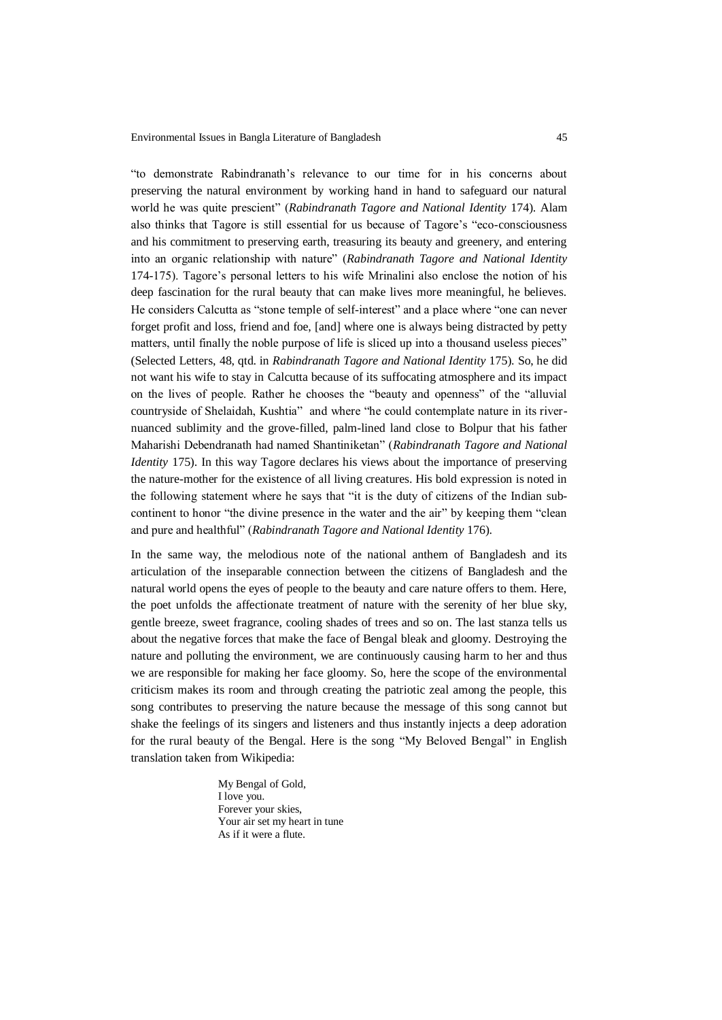"to demonstrate Rabindranath's relevance to our time for in his concerns about preserving the natural environment by working hand in hand to safeguard our natural world he was quite prescient" (*Rabindranath Tagore and National Identity* 174). Alam also thinks that Tagore is still essential for us because of Tagore's "eco-consciousness and his commitment to preserving earth, treasuring its beauty and greenery, and entering into an organic relationship with nature" (*Rabindranath Tagore and National Identity* 174-175). Tagore's personal letters to his wife Mrinalini also enclose the notion of his deep fascination for the rural beauty that can make lives more meaningful, he believes. He considers Calcutta as "stone temple of self-interest" and a place where "one can never forget profit and loss, friend and foe, [and] where one is always being distracted by petty matters, until finally the noble purpose of life is sliced up into a thousand useless pieces" (Selected Letters, 48, qtd. in *Rabindranath Tagore and National Identity* 175). So, he did not want his wife to stay in Calcutta because of its suffocating atmosphere and its impact on the lives of people. Rather he chooses the "beauty and openness" of the "alluvial countryside of Shelaidah, Kushtia" and where "he could contemplate nature in its rivernuanced sublimity and the grove-filled, palm-lined land close to Bolpur that his father Maharishi Debendranath had named Shantiniketan" (*Rabindranath Tagore and National Identity* 175). In this way Tagore declares his views about the importance of preserving the nature-mother for the existence of all living creatures. His bold expression is noted in the following statement where he says that "it is the duty of citizens of the Indian subcontinent to honor "the divine presence in the water and the air" by keeping them "clean and pure and healthful" (*Rabindranath Tagore and National Identity* 176).

In the same way, the melodious note of the national anthem of Bangladesh and its articulation of the inseparable connection between the citizens of Bangladesh and the natural world opens the eyes of people to the beauty and care nature offers to them. Here, the poet unfolds the affectionate treatment of nature with the serenity of her blue sky, gentle breeze, sweet fragrance, cooling shades of trees and so on. The last stanza tells us about the negative forces that make the face of Bengal bleak and gloomy. Destroying the nature and polluting the environment, we are continuously causing harm to her and thus we are responsible for making her face gloomy. So, here the scope of the environmental criticism makes its room and through creating the patriotic zeal among the people, this song contributes to preserving the nature because the message of this song cannot but shake the feelings of its singers and listeners and thus instantly injects a deep adoration for the rural beauty of the Bengal. Here is the song "My Beloved Bengal" in English translation taken from Wikipedia:

> My Bengal of Gold, I love you. Forever your skies, Your air set my heart in tune As if it were a flute.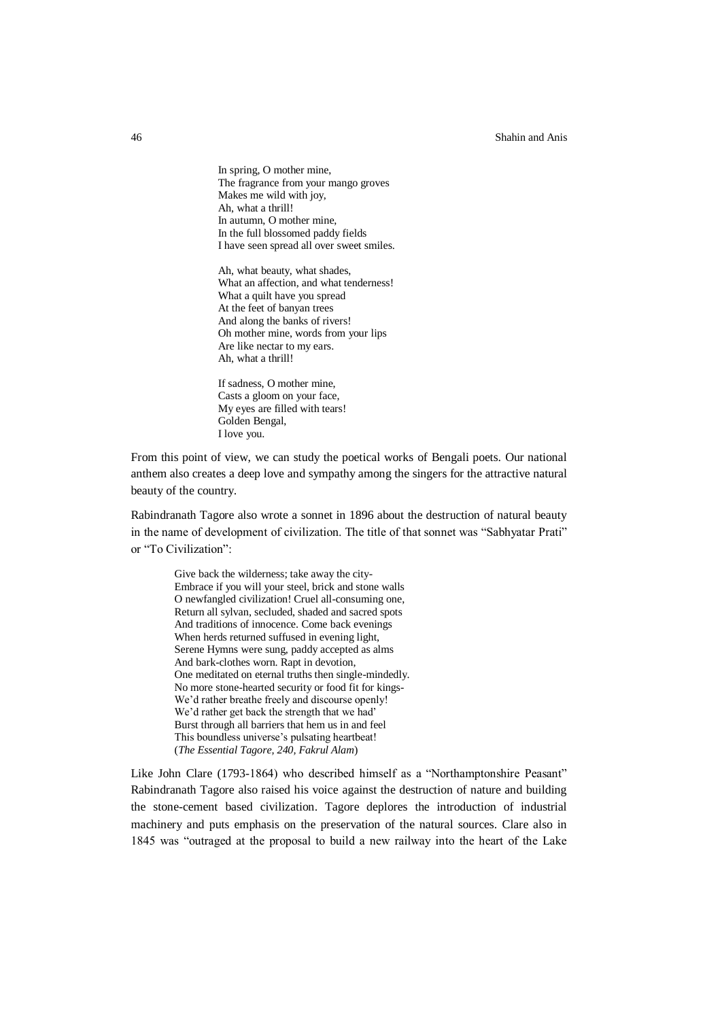46 Shahin and Anis

In spring, O mother mine, The fragrance from your mango groves Makes me wild with joy, Ah, what a thrill! In autumn, O mother mine, In the full blossomed paddy fields I have seen spread all over sweet smiles.

Ah, what beauty, what shades, What an affection, and what tenderness! What a quilt have you spread At the feet of banyan trees And along the banks of rivers! Oh mother mine, words from your lips Are like nectar to my ears. Ah, what a thrill!

If sadness, O mother mine, Casts a gloom on your face, My eyes are filled with tears! Golden Bengal, I love you.

From this point of view, we can study the poetical works of Bengali poets. Our national anthem also creates a deep love and sympathy among the singers for the attractive natural beauty of the country.

Rabindranath Tagore also wrote a sonnet in 1896 about the destruction of natural beauty in the name of development of civilization. The title of that sonnet was "Sabhyatar Prati" or "To Civilization":

Give back the wilderness; take away the city-Embrace if you will your steel, brick and stone walls O newfangled civilization! Cruel all-consuming one, Return all sylvan, secluded, shaded and sacred spots And traditions of innocence. Come back evenings When herds returned suffused in evening light, Serene Hymns were sung, paddy accepted as alms And bark-clothes worn. Rapt in devotion, One meditated on eternal truths then single-mindedly. No more stone-hearted security or food fit for kings-We'd rather breathe freely and discourse openly! We'd rather get back the strength that we had' Burst through all barriers that hem us in and feel This boundless universe's pulsating heartbeat! (*The Essential Tagore, 240, Fakrul Alam*)

Like John Clare (1793-1864) who described himself as a "Northamptonshire Peasant" Rabindranath Tagore also raised his voice against the destruction of nature and building the stone-cement based civilization. Tagore deplores the introduction of industrial machinery and puts emphasis on the preservation of the natural sources. Clare also in 1845 was "outraged at the proposal to build a new railway into the heart of the Lake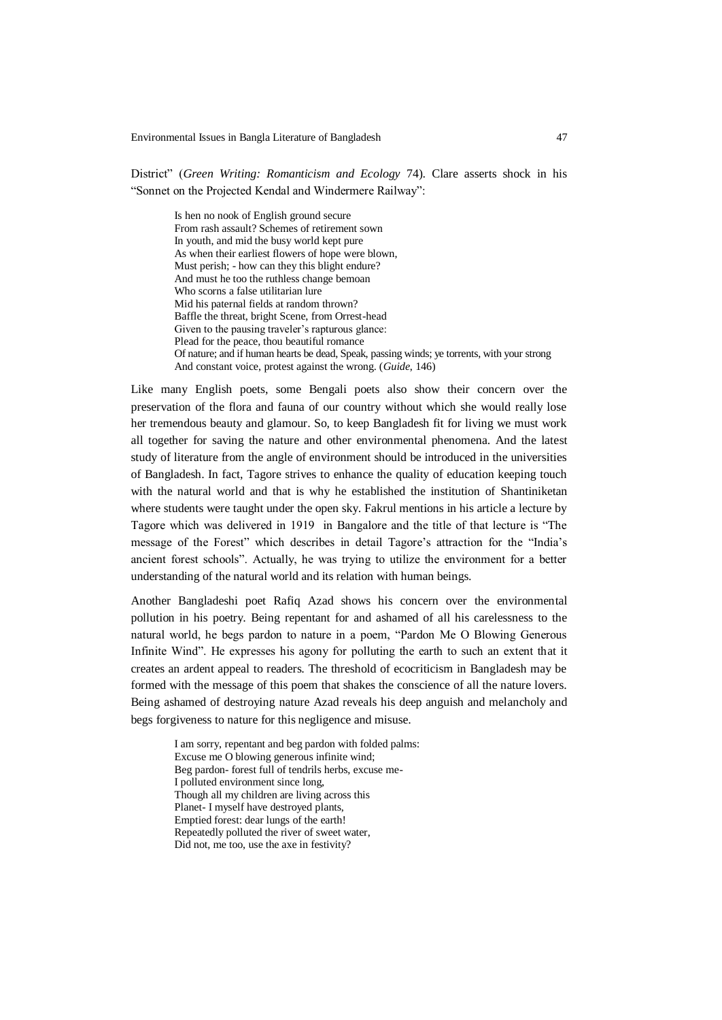District" (*Green Writing: Romanticism and Ecology* 74). Clare asserts shock in his "Sonnet on the Projected Kendal and Windermere Railway":

Is hen no nook of English ground secure From rash assault? Schemes of retirement sown In youth, and mid the busy world kept pure As when their earliest flowers of hope were blown, Must perish; - how can they this blight endure? And must he too the ruthless change bemoan Who scorns a false utilitarian lure Mid his paternal fields at random thrown? Baffle the threat, bright Scene, from Orrest-head Given to the pausing traveler's rapturous glance: Plead for the peace, thou beautiful romance Of nature; and if human hearts be dead, Speak, passing winds; ye torrents, with your strong And constant voice, protest against the wrong. (*Guide*, 146)

Like many English poets, some Bengali poets also show their concern over the preservation of the flora and fauna of our country without which she would really lose her tremendous beauty and glamour. So, to keep Bangladesh fit for living we must work all together for saving the nature and other environmental phenomena. And the latest study of literature from the angle of environment should be introduced in the universities of Bangladesh. In fact, Tagore strives to enhance the quality of education keeping touch with the natural world and that is why he established the institution of Shantiniketan where students were taught under the open sky. Fakrul mentions in his article a lecture by Tagore which was delivered in 1919 in Bangalore and the title of that lecture is "The message of the Forest" which describes in detail Tagore's attraction for the "India's ancient forest schools". Actually, he was trying to utilize the environment for a better understanding of the natural world and its relation with human beings.

Another Bangladeshi poet Rafiq Azad shows his concern over the environmental pollution in his poetry. Being repentant for and ashamed of all his carelessness to the natural world, he begs pardon to nature in a poem, "Pardon Me O Blowing Generous Infinite Wind". He expresses his agony for polluting the earth to such an extent that it creates an ardent appeal to readers. The threshold of ecocriticism in Bangladesh may be formed with the message of this poem that shakes the conscience of all the nature lovers. Being ashamed of destroying nature Azad reveals his deep anguish and melancholy and begs forgiveness to nature for this negligence and misuse.

I am sorry, repentant and beg pardon with folded palms: Excuse me O blowing generous infinite wind; Beg pardon- forest full of tendrils herbs, excuse me-I polluted environment since long, Though all my children are living across this Planet- I myself have destroyed plants, Emptied forest: dear lungs of the earth! Repeatedly polluted the river of sweet water, Did not, me too, use the axe in festivity?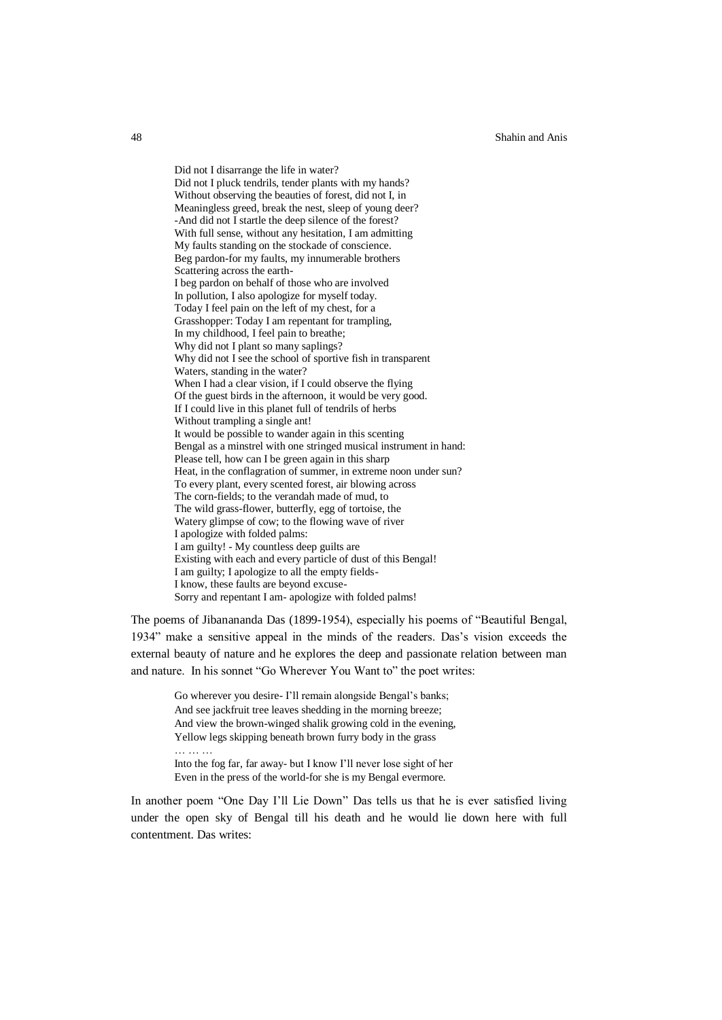48 Shahin and Anis

Did not I disarrange the life in water? Did not I pluck tendrils, tender plants with my hands? Without observing the beauties of forest, did not I, in Meaningless greed, break the nest, sleep of young deer? -And did not I startle the deep silence of the forest? With full sense, without any hesitation, I am admitting My faults standing on the stockade of conscience. Beg pardon-for my faults, my innumerable brothers Scattering across the earth-I beg pardon on behalf of those who are involved In pollution, I also apologize for myself today. Today I feel pain on the left of my chest, for a Grasshopper: Today I am repentant for trampling, In my childhood, I feel pain to breathe; Why did not I plant so many saplings? Why did not I see the school of sportive fish in transparent Waters, standing in the water? When I had a clear vision, if I could observe the flying Of the guest birds in the afternoon, it would be very good. If I could live in this planet full of tendrils of herbs Without trampling a single ant! It would be possible to wander again in this scenting Bengal as a minstrel with one stringed musical instrument in hand: Please tell, how can I be green again in this sharp Heat, in the conflagration of summer, in extreme noon under sun? To every plant, every scented forest, air blowing across The corn-fields; to the verandah made of mud, to The wild grass-flower, butterfly, egg of tortoise, the Watery glimpse of cow; to the flowing wave of river I apologize with folded palms: I am guilty! - My countless deep guilts are Existing with each and every particle of dust of this Bengal! I am guilty; I apologize to all the empty fields-I know, these faults are beyond excuse-Sorry and repentant I am- apologize with folded palms!

The poems of Jibanananda Das (1899-1954), especially his poems of "Beautiful Bengal, 1934" make a sensitive appeal in the minds of the readers. Das's vision exceeds the external beauty of nature and he explores the deep and passionate relation between man and nature. In his sonnet "Go Wherever You Want to" the poet writes:

Go wherever you desire- I'll remain alongside Bengal's banks; And see jackfruit tree leaves shedding in the morning breeze; And view the brown-winged shalik growing cold in the evening, Yellow legs skipping beneath brown furry body in the grass … … …

Into the fog far, far away- but I know I'll never lose sight of her Even in the press of the world-for she is my Bengal evermore.

In another poem "One Day I'll Lie Down" Das tells us that he is ever satisfied living under the open sky of Bengal till his death and he would lie down here with full contentment. Das writes: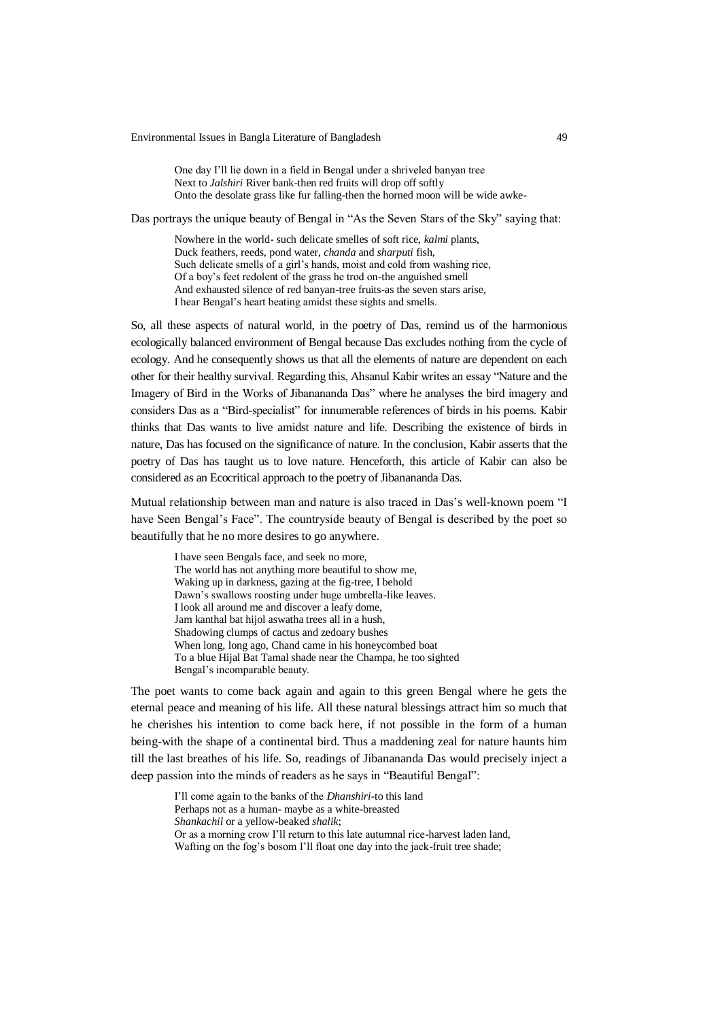#### Environmental Issues in Bangla Literature of Bangladesh 49

One day I'll lie down in a field in Bengal under a shriveled banyan tree Next to *Jalshiri* River bank-then red fruits will drop off softly Onto the desolate grass like fur falling-then the horned moon will be wide awke-

Das portrays the unique beauty of Bengal in "As the Seven Stars of the Sky" saying that:

Nowhere in the world- such delicate smelles of soft rice, *kalmi* plants, Duck feathers, reeds, pond water, *chanda* and *sharputi* fish, Such delicate smells of a girl's hands, moist and cold from washing rice, Of a boy's feet redolent of the grass he trod on-the anguished smell And exhausted silence of red banyan-tree fruits-as the seven stars arise, I hear Bengal's heart beating amidst these sights and smells.

So, all these aspects of natural world, in the poetry of Das, remind us of the harmonious ecologically balanced environment of Bengal because Das excludes nothing from the cycle of ecology. And he consequently shows us that all the elements of nature are dependent on each other for their healthy survival. Regarding this, Ahsanul Kabir writes an essay "Nature and the Imagery of Bird in the Works of Jibanananda Das" where he analyses the bird imagery and considers Das as a "Bird-specialist" for innumerable references of birds in his poems. Kabir thinks that Das wants to live amidst nature and life. Describing the existence of birds in nature, Das has focused on the significance of nature. In the conclusion, Kabir asserts that the poetry of Das has taught us to love nature. Henceforth, this article of Kabir can also be considered as an Ecocritical approach to the poetry of Jibanananda Das.

Mutual relationship between man and nature is also traced in Das's well-known poem "I have Seen Bengal's Face". The countryside beauty of Bengal is described by the poet so beautifully that he no more desires to go anywhere.

I have seen Bengals face, and seek no more, The world has not anything more beautiful to show me, Waking up in darkness, gazing at the fig-tree, I behold Dawn's swallows roosting under huge umbrella-like leaves. I look all around me and discover a leafy dome, Jam kanthal bat hijol aswatha trees all in a hush, Shadowing clumps of cactus and zedoary bushes When long, long ago, Chand came in his honeycombed boat To a blue Hijal Bat Tamal shade near the Champa, he too sighted Bengal's incomparable beauty.

The poet wants to come back again and again to this green Bengal where he gets the eternal peace and meaning of his life. All these natural blessings attract him so much that he cherishes his intention to come back here, if not possible in the form of a human being-with the shape of a continental bird. Thus a maddening zeal for nature haunts him till the last breathes of his life. So, readings of Jibanananda Das would precisely inject a deep passion into the minds of readers as he says in "Beautiful Bengal":

I'll come again to the banks of the *Dhanshiri*-to this land Perhaps not as a human- maybe as a white-breasted *Shankachil* or a yellow-beaked *shalik*; Or as a morning crow I'll return to this late autumnal rice-harvest laden land, Wafting on the fog's bosom I'll float one day into the jack-fruit tree shade;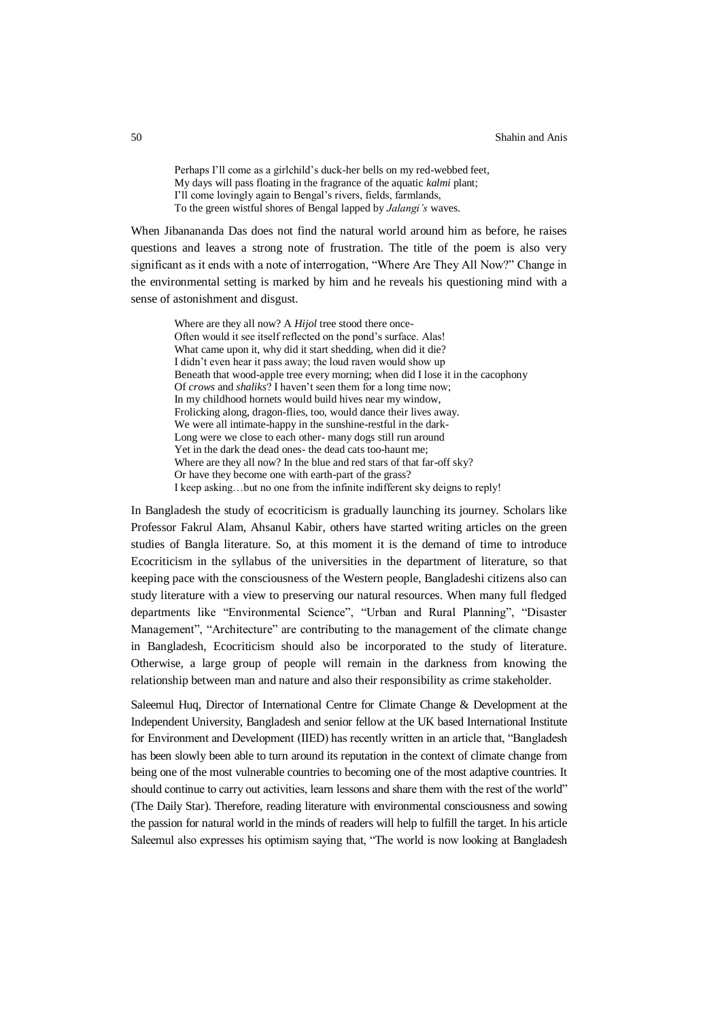Perhaps I'll come as a girlchild's duck-her bells on my red-webbed feet, My days will pass floating in the fragrance of the aquatic *kalmi* plant; I'll come lovingly again to Bengal's rivers, fields, farmlands, To the green wistful shores of Bengal lapped by *Jalangi's* waves.

When Jibanananda Das does not find the natural world around him as before, he raises questions and leaves a strong note of frustration. The title of the poem is also very significant as it ends with a note of interrogation, "Where Are They All Now?" Change in the environmental setting is marked by him and he reveals his questioning mind with a sense of astonishment and disgust.

Where are they all now? A *Hijol* tree stood there once-Often would it see itself reflected on the pond's surface. Alas! What came upon it, why did it start shedding, when did it die? I didn't even hear it pass away; the loud raven would show up Beneath that wood-apple tree every morning; when did I lose it in the cacophony Of *crows* and *shaliks*? I haven't seen them for a long time now; In my childhood hornets would build hives near my window, Frolicking along, dragon-flies, too, would dance their lives away. We were all intimate-happy in the sunshine-restful in the dark-Long were we close to each other- many dogs still run around Yet in the dark the dead ones- the dead cats too-haunt me; Where are they all now? In the blue and red stars of that far-off sky? Or have they become one with earth-part of the grass? I keep asking…but no one from the infinite indifferent sky deigns to reply!

In Bangladesh the study of ecocriticism is gradually launching its journey. Scholars like Professor Fakrul Alam, Ahsanul Kabir, others have started writing articles on the green studies of Bangla literature. So, at this moment it is the demand of time to introduce Ecocriticism in the syllabus of the universities in the department of literature, so that keeping pace with the consciousness of the Western people, Bangladeshi citizens also can study literature with a view to preserving our natural resources. When many full fledged departments like "Environmental Science", "Urban and Rural Planning", "Disaster Management", "Architecture" are contributing to the management of the climate change in Bangladesh, Ecocriticism should also be incorporated to the study of literature. Otherwise, a large group of people will remain in the darkness from knowing the relationship between man and nature and also their responsibility as crime stakeholder.

Saleemul Huq, Director of International Centre for Climate Change & Development at the Independent University, Bangladesh and senior fellow at the UK based International Institute for Environment and Development (IIED) has recently written in an article that, "Bangladesh has been slowly been able to turn around its reputation in the context of climate change from being one of the most vulnerable countries to becoming one of the most adaptive countries. It should continue to carry out activities, learn lessons and share them with the rest of the world" (The Daily Star). Therefore, reading literature with environmental consciousness and sowing the passion for natural world in the minds of readers will help to fulfill the target. In his article Saleemul also expresses his optimism saying that, "The world is now looking at Bangladesh